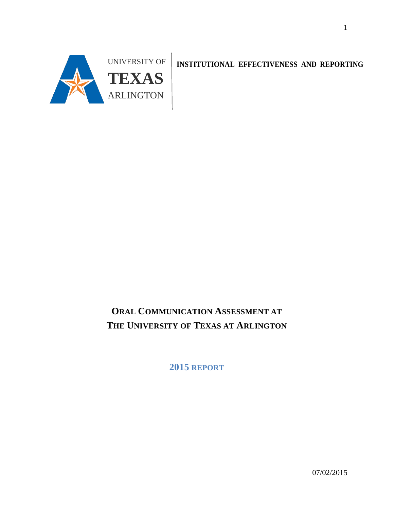

**INSTITUTIONAL EFFECTIVENESS AND REPORTING** 

# **ORAL COMMUNICATION ASSESSMENT AT THE UNIVERSITY OF TEXAS AT ARLINGTON**

**2015 REPORT**

07/02/2015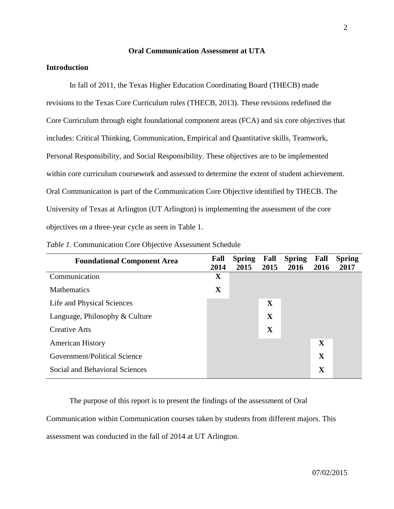#### **Oral Communication Assessment at UTA**

#### **Introduction**

In fall of 2011, the Texas Higher Education Coordinating Board (THECB) made revisions to the Texas Core Curriculum rules (THECB, 2013). These revisions redefined the Core Curriculum through eight foundational component areas (FCA) and six core objectives that includes: Critical Thinking, Communication, Empirical and Quantitative skills, Teamwork, Personal Responsibility, and Social Responsibility. These objectives are to be implemented within core curriculum coursework and assessed to determine the extent of student achievement. Oral Communication is part of the Communication Core Objective identified by THECB. The University of Texas at Arlington (UT Arlington) is implementing the assessment of the core objectives on a three-year cycle as seen in Table 1.

| <b>Foundational Component Area</b> | Fall<br>2014 | <b>Spring</b><br>2015 | Fall<br>2015 | <b>Spring</b><br>2016 | Fall<br>2016 | <b>Spring</b><br>2017 |
|------------------------------------|--------------|-----------------------|--------------|-----------------------|--------------|-----------------------|
| Communication                      | $\mathbf X$  |                       |              |                       |              |                       |
| <b>Mathematics</b>                 | X            |                       |              |                       |              |                       |
| Life and Physical Sciences         |              |                       | $\mathbf{X}$ |                       |              |                       |
| Language, Philosophy & Culture     |              |                       | X            |                       |              |                       |
| <b>Creative Arts</b>               |              |                       | X            |                       |              |                       |
| <b>American History</b>            |              |                       |              |                       | $\mathbf{X}$ |                       |
| Government/Political Science       |              |                       |              |                       | $\mathbf{X}$ |                       |
| Social and Behavioral Sciences     |              |                       |              |                       | $\mathbf X$  |                       |

| Table 1. Communication Core Objective Assessment Schedule |  |  |  |  |  |  |  |  |
|-----------------------------------------------------------|--|--|--|--|--|--|--|--|
|-----------------------------------------------------------|--|--|--|--|--|--|--|--|

The purpose of this report is to present the findings of the assessment of Oral Communication within Communication courses taken by students from different majors. This assessment was conducted in the fall of 2014 at UT Arlington.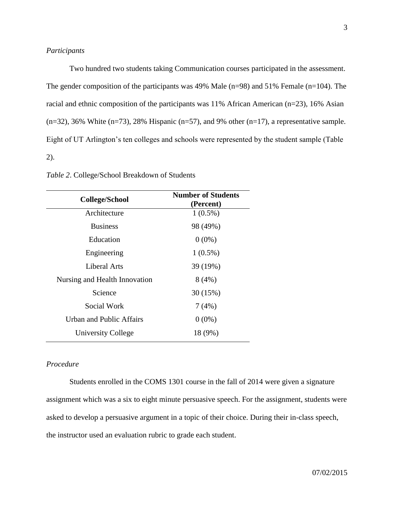Two hundred two students taking Communication courses participated in the assessment. The gender composition of the participants was 49% Male (n=98) and 51% Female (n=104). The racial and ethnic composition of the participants was 11% African American (n=23), 16% Asian  $(n=32)$ , 36% White  $(n=73)$ , 28% Hispanic  $(n=57)$ , and 9% other  $(n=17)$ , a representative sample. Eight of UT Arlington's ten colleges and schools were represented by the student sample (Table 2).

| College/School                | <b>Number of Students</b><br>(Percent) |  |  |
|-------------------------------|----------------------------------------|--|--|
| Architecture                  | $1(0.5\%)$                             |  |  |
| <b>Business</b>               | 98 (49%)                               |  |  |
| Education                     | $0(0\%)$                               |  |  |
| Engineering                   | $1(0.5\%)$                             |  |  |
| Liberal Arts                  | 39 (19%)                               |  |  |
| Nursing and Health Innovation | 8(4%)                                  |  |  |
| Science                       | 30 (15%)                               |  |  |
| Social Work                   | 7(4%)                                  |  |  |
| Urban and Public Affairs      | $0(0\%)$                               |  |  |
| University College            | 18 (9%)                                |  |  |

*Table 2*. College/School Breakdown of Students

## *Procedure*

 Students enrolled in the COMS 1301 course in the fall of 2014 were given a signature assignment which was a six to eight minute persuasive speech. For the assignment, students were asked to develop a persuasive argument in a topic of their choice. During their in-class speech, the instructor used an evaluation rubric to grade each student.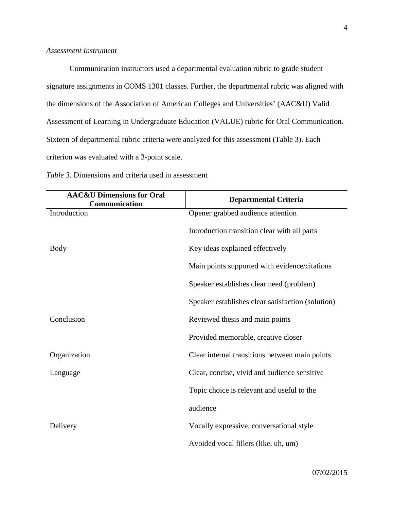#### *Assessment Instrument*

Communication instructors used a departmental evaluation rubric to grade student signature assignments in COMS 1301 classes. Further, the departmental rubric was aligned with the dimensions of the Association of American Colleges and Universities' (AAC&U) Valid Assessment of Learning in Undergraduate Education (VALUE) rubric for Oral Communication. Sixteen of departmental rubric criteria were analyzed for this assessment (Table 3). Each criterion was evaluated with a 3-point scale.

| <b>AAC&amp;U Dimensions for Oral</b><br>Communication | <b>Departmental Criteria</b>                      |
|-------------------------------------------------------|---------------------------------------------------|
| Introduction                                          | Opener grabbed audience attention                 |
|                                                       | Introduction transition clear with all parts      |
| Body                                                  | Key ideas explained effectively                   |
|                                                       | Main points supported with evidence/citations     |
|                                                       | Speaker establishes clear need (problem)          |
|                                                       | Speaker establishes clear satisfaction (solution) |
| Conclusion                                            | Reviewed thesis and main points                   |
|                                                       | Provided memorable, creative closer               |
| Organization                                          | Clear internal transitions between main points    |
| Language                                              | Clear, concise, vivid and audience sensitive      |
|                                                       | Topic choice is relevant and useful to the        |
|                                                       | audience                                          |
| Delivery                                              | Vocally expressive, conversational style          |
|                                                       | Avoided vocal fillers (like, uh, um)              |

*Table 3.* Dimensions and criteria used in assessment

07/02/2015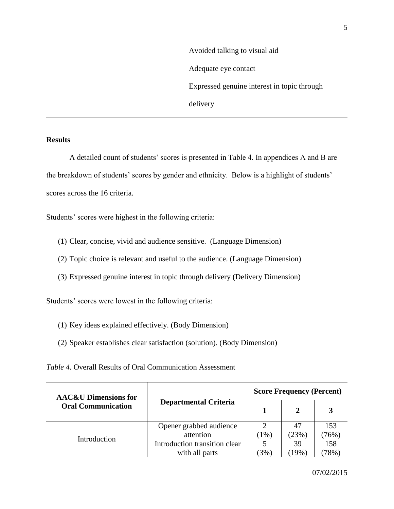Avoided talking to visual aid Adequate eye contact Expressed genuine interest in topic through delivery

### **Results**

 A detailed count of students' scores is presented in Table 4. In appendices A and B ar e the breakdown of students' scores by gender and ethnicity. Below is a highlight of students' scores across the 16 criteria.

Students' scores were highest in the following criteria:

- (1) Clear, concise, vivid and audience sensitive. (Language Dimension)
- (2) Topic choice is relevant and useful to the audience. (Language Dimension)
- (3) Expressed genuine interest in topic through delivery (Delivery Dimension)

Students' scores were lowest in the following criteria:

- (1) Key ideas explained effectively. (Body Dimension)
- (2) Speaker establishes clear satisfaction (solution). (Body Dimension)

*Table 4.* Overall Results of Oral Communication Assessment

| <b>AAC&amp;U Dimensions for</b> |                               | <b>Score Frequency (Percent)</b> |          |         |  |
|---------------------------------|-------------------------------|----------------------------------|----------|---------|--|
| <b>Oral Communication</b>       | <b>Departmental Criteria</b>  |                                  |          |         |  |
|                                 | Opener grabbed audience       |                                  | 47       | 153     |  |
| Introduction                    | attention                     | (1%)                             | (23%)    | (76%)   |  |
|                                 | Introduction transition clear |                                  | 39       | 158     |  |
|                                 | with all parts                | $(3\%)$                          | $(19\%)$ | $78\%)$ |  |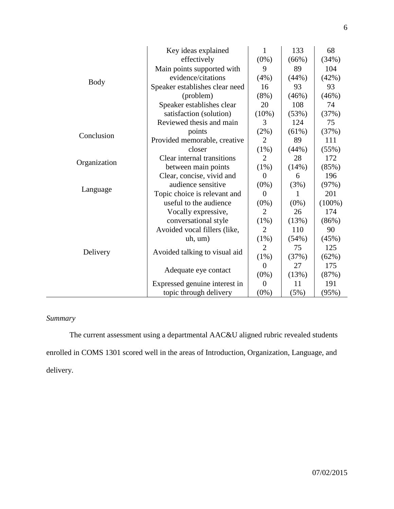|              | Key ideas explained            | $\mathbf{1}$   | 133      | 68        |
|--------------|--------------------------------|----------------|----------|-----------|
|              | effectively                    | $(0\%)$        | (66%)    | (34%)     |
|              | Main points supported with     | 9              | 89       | 104       |
| <b>Body</b>  | evidence/citations             | (4%)           | (44%)    | (42%)     |
|              | Speaker establishes clear need | 16             | 93       | 93        |
|              | (problem)                      | $(8\%)$        | (46%)    | (46%)     |
|              | Speaker establishes clear      | 20             | 108      | 74        |
|              | satisfaction (solution)        | $(10\%)$       | (53%)    | (37%)     |
|              | Reviewed thesis and main       | 3              | 124      | 75        |
| Conclusion   | points                         | (2%)           | $(61\%)$ | (37%)     |
|              | Provided memorable, creative   | $\overline{2}$ | 89       | 111       |
|              | closer                         | $(1\%)$        | (44%)    | (55%)     |
|              | Clear internal transitions     | $\overline{2}$ | 28       | 172       |
| Organization | between main points            | $(1\%)$        | (14%)    | (85%)     |
|              | Clear, concise, vivid and      | $\theta$       | 6        | 196       |
| Language     | audience sensitive             | $(0\%)$        | (3%)     | (97%)     |
|              | Topic choice is relevant and   | $\overline{0}$ | 1        | 201       |
|              | useful to the audience         | $(0\%)$        | $(0\%)$  | $(100\%)$ |
|              | Vocally expressive,            | $\overline{2}$ | 26       | 174       |
|              | conversational style           | (1%)           | (13%)    | (86%)     |
|              | Avoided vocal fillers (like,   | $\overline{2}$ | 110      | 90        |
|              | uh, um)                        | $(1\%)$        | (54%)    | (45%)     |
| Delivery     | Avoided talking to visual aid  | $\overline{2}$ | 75       | 125       |
|              |                                | $(1\%)$        | (37%)    | (62%)     |
|              |                                | $\overline{0}$ | 27       | 175       |
|              | Adequate eye contact           | $(0\%)$        | (13%)    | (87%)     |
|              | Expressed genuine interest in  | $\overline{0}$ | 11       | 191       |
|              | topic through delivery         | $(0\%)$        | (5%)     | (95%)     |

# *Summary*

The current assessment using a departmental AAC&U aligned rubric revealed students enrolled in COMS 1301 scored well in the areas of Introduction, Organization, Language, and delivery.

6